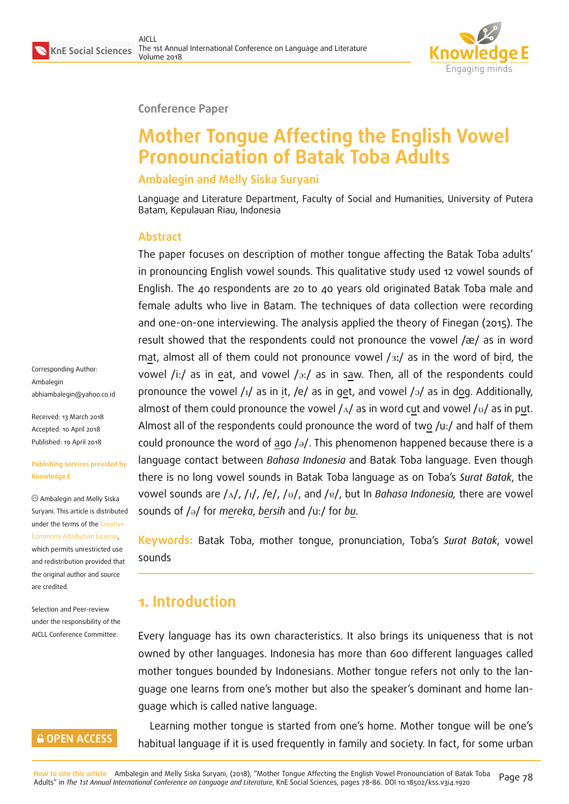

#### **Conference Paper**

# **Mother Tongue Affecting the English Vowel Pronounciation of Batak Toba Adults**

#### **Ambalegin and Melly Siska Suryani**

Language and Literature Department, Faculty of Social and Humanities, University of Putera Batam, Kepulauan Riau, Indonesia

#### **Abstract**

The paper focuses on description of mother tongue affecting the Batak Toba adults' in pronouncing English vowel sounds. This qualitative study used 12 vowel sounds of English. The 40 respondents are 20 to 40 years old originated Batak Toba male and female adults who live in Batam. The techniques of data collection were recording and one-on-one interviewing. The analysis applied the theory of Finegan (2015). The result showed that the respondents could not pronounce the vowel /æ/ as in word mat, almost all of them could not pronounce vowel  $/s$ :/ as in the word of bird, the vowel /i:/ as in eat, and vowel / $\sigma$ :/ as in saw. Then, all of the respondents could pronounce the vowel  $\frac{1}{4}$  as in it,  $\frac{1}{2}$  as in get, and vowel  $\frac{1}{2}$  as in dog. Additionally, almost of them could pronounce the vowel  $/\Delta/$  as in word cut and vowel  $/\Delta/$  as in put. Almost all of the respondents could pronounce the word of two /u:/ and half of them could pronounce the word of ago  $\sqrt{a}$ . This phenomenon happened because there is a language contact between *Bahasa Indonesia* and Batak Toba language. Even though there is no long vowel sounds in Batak Toba language as on Toba's *Surat Batak*, the vowel sounds are /ʌ/, /ɪ/, /e/, /u/, and /ɐ/, but In *Bahasa Indonesia*, there are vowel sounds of /@/ for *mereka*, *bersih* and /u:/ for *bu*.

**Keywords:** Batak Toba, mother tongue, pronunciation, Toba's *Surat Batak*, vowel sounds

### **1. Introduction**

Every language has its own characteristics. It also brings its uniqueness that is not owned by other languages. Indonesia has more than 600 different languages called mother tongues bounded by Indonesians. Mother tongue refers not only to the language one learns from one's mother but also the speaker's dominant and home language which is called native language.

Learning mother tongue is started from one's home. Mother tongue will be one's habitual language if it is used frequently in family and society. In fact, for some urban

#### **GOPEN ACCESS**

Corresponding Author:

abhiambalegin@yahoo.co.id

**Publishing services provided by**

Ambalegin and Melly Siska Suryani. This article is distributed under the terms of the Creative Commons Attribution License, which permits unrestricted use and redistribution provided that the original author and [source](https://creativecommons.org/licenses/by/4.0/)

Received: 13 March 2018 Accepted: 10 April 2018 [Published: 19 April 2018](mailto:abhiambalegin@yahoo.co.id)

Ambalegin

**Knowledge E**

[are credited.](https://creativecommons.org/licenses/by/4.0/)

Selection and Peer-review under the responsibility of the AICLL Conference Committee.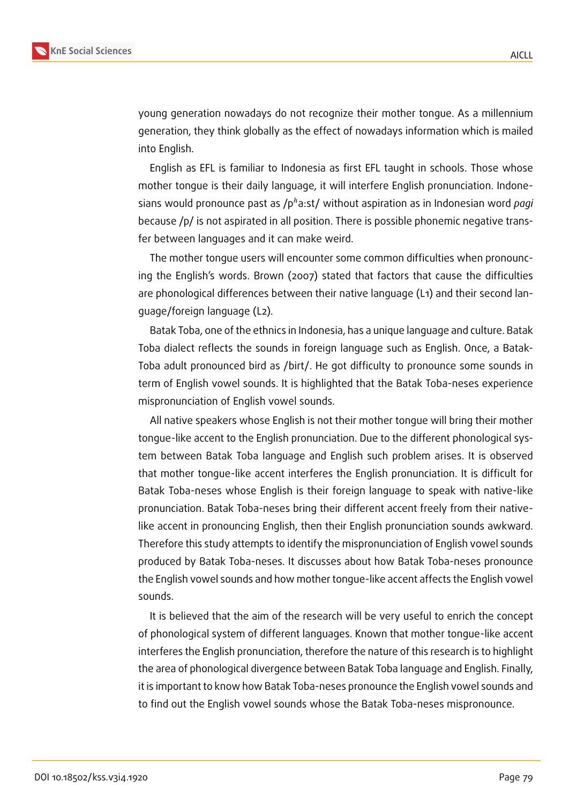

young generation nowadays do not recognize their mother tongue. As a millennium generation, they think globally as the effect of nowadays information which is mailed into English.

English as EFL is familiar to Indonesia as first EFL taught in schools. Those whose mother tongue is their daily language, it will interfere English pronunciation. Indonesians would pronounce past as /p<sup>h</sup>a:st/ without aspiration as in Indonesian word *pagi* because /p/ is not aspirated in all position. There is possible phonemic negative transfer between languages and it can make weird.

The mother tongue users will encounter some common difficulties when pronouncing the English's words. Brown (2007) stated that factors that cause the difficulties are phonological differences between their native language (L1) and their second language/foreign language (L2).

Batak Toba, one of the ethnics in Indonesia, has a unique language and culture. Batak Toba dialect reflects the sounds in foreign language such as English. Once, a Batak-Toba adult pronounced bird as /birt/. He got difficulty to pronounce some sounds in term of English vowel sounds. It is highlighted that the Batak Toba-neses experience mispronunciation of English vowel sounds.

All native speakers whose English is not their mother tongue will bring their mother tongue-like accent to the English pronunciation. Due to the different phonological system between Batak Toba language and English such problem arises. It is observed that mother tongue-like accent interferes the English pronunciation. It is difficult for Batak Toba-neses whose English is their foreign language to speak with native-like pronunciation. Batak Toba-neses bring their different accent freely from their nativelike accent in pronouncing English, then their English pronunciation sounds awkward. Therefore this study attempts to identify the mispronunciation of English vowel sounds produced by Batak Toba-neses. It discusses about how Batak Toba-neses pronounce the English vowel sounds and how mother tongue-like accent affects the English vowel sounds.

It is believed that the aim of the research will be very useful to enrich the concept of phonological system of different languages. Known that mother tongue-like accent interferes the English pronunciation, therefore the nature of this research is to highlight the area of phonological divergence between Batak Toba language and English. Finally, it is important to know how Batak Toba-neses pronounce the English vowel sounds and to find out the English vowel sounds whose the Batak Toba-neses mispronounce.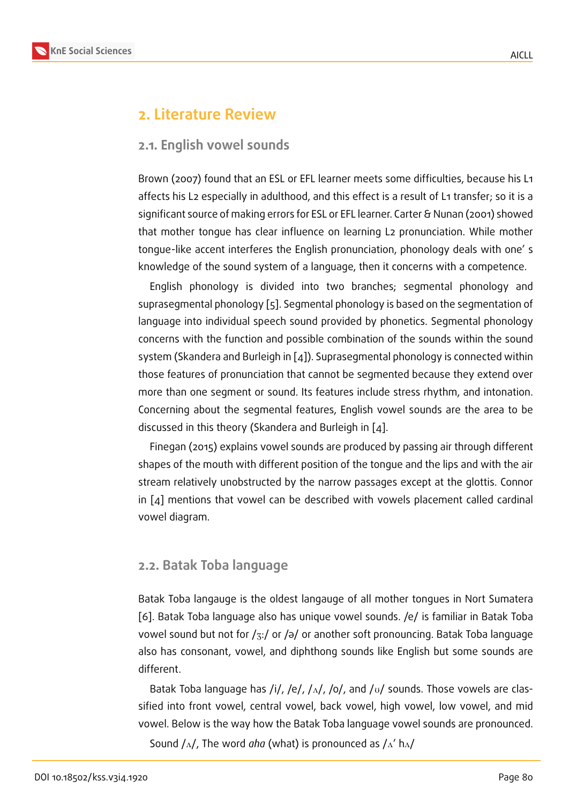### **2. Literature Review**

#### **2.1. English vowel sounds**

Brown (2007) found that an ESL or EFL learner meets some difficulties, because his L1 affects his L2 especially in adulthood, and this effect is a result of L1 transfer; so it is a significant source of making errors for ESL or EFL learner. Carter & Nunan (2001) showed that mother tongue has clear influence on learning L2 pronunciation. While mother tongue-like accent interferes the English pronunciation, phonology deals with one' s knowledge of the sound system of a language, then it concerns with a competence.

English phonology is divided into two branches; segmental phonology and suprasegmental phonology [5]. Segmental phonology is based on the segmentation of language into individual speech sound provided by phonetics. Segmental phonology concerns with the function and possible combination of the sounds within the sound system (Skandera and Burlei[gh](#page-8-0) in [4]). Suprasegmental phonology is connected within those features of pronunciation that cannot be segmented because they extend over more than one segment or sound. Its features include stress rhythm, and intonation. Concerning about the segmental [fe](#page-8-1)atures, English vowel sounds are the area to be discussed in this theory (Skandera and Burleigh in [4].

Finegan (2015) explains vowel sounds are produced by passing air through different shapes of the mouth with different position of the tongue and the lips and with the air stream relatively unobstructed by the narrow pass[ag](#page-8-1)es except at the glottis. Connor in  $\lceil 4 \rceil$  mentions that vowel can be described with vowels placement called cardinal vowel diagram.

### **2.2. Batak Toba language**

Batak Toba langauge is the oldest langauge of all mother tongues in Nort Sumatera [6]. Batak Toba language also has unique vowel sounds. /e/ is familiar in Batak Toba vowel sound but not for  $\frac{z}{1}$  or  $\frac{z}{q}$  or another soft pronouncing. Batak Toba language also has consonant, vowel, and diphthong sounds like English but some sounds are [dif](#page-8-2)ferent.

Batak Toba language has /i/, /e/, / $\Delta$ /, /o/, and / $\sigma$ / sounds. Those vowels are classified into front vowel, central vowel, back vowel, high vowel, low vowel, and mid vowel. Below is the way how the Batak Toba language vowel sounds are pronounced.

Sound  $/\Lambda$ , The word *aha* (what) is pronounced as  $/\Lambda'$  h $\Lambda$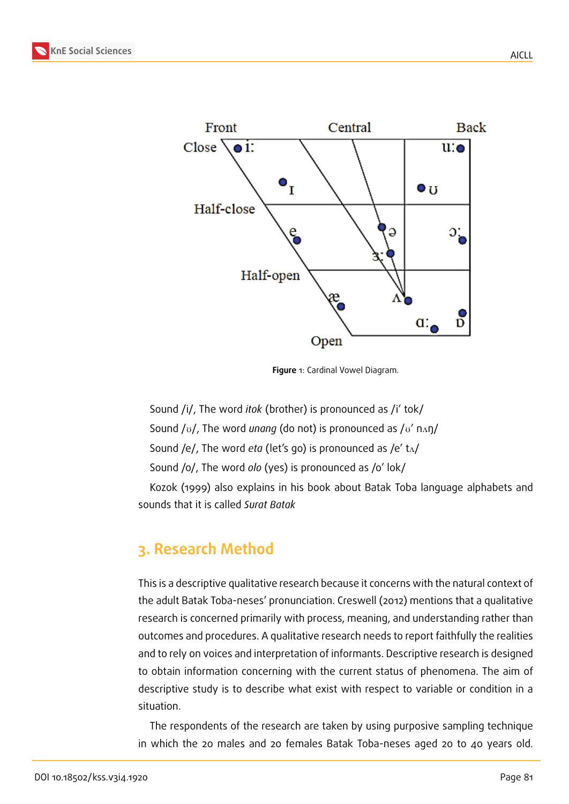

**Figure** 1: Cardinal Vowel Diagram.

Sound /i/, The word *itok* (brother) is pronounced as /i' tok/ Sound / $U$ , The word *unang* (do not) is pronounced as / $U'$  n<sub>A</sub>ŋ/ Sound /e/, The word *eta* (let's go) is pronounced as /e' t<sub>A</sub>/ Sound /o/, The word *olo* (yes) is pronounced as /o' lok/

Kozok (1999) also explains in his book about Batak Toba language alphabets and sounds that it is called *Surat Batak*

### **3. Research Method**

This is a descriptive qualitative research because it concerns with the natural context of the adult Batak Toba-neses' pronunciation. Creswell (2012) mentions that a qualitative research is concerned primarily with process, meaning, and understanding rather than outcomes and procedures. A qualitative research needs to report faithfully the realities and to rely on voices and interpretation of informants. Descriptive research is designed to obtain information concerning with the current status of phenomena. The aim of descriptive study is to describe what exist with respect to variable or condition in a situation.

The respondents of the research are taken by using purposive sampling technique in which the 20 males and 20 females Batak Toba-neses aged 20 to 40 years old.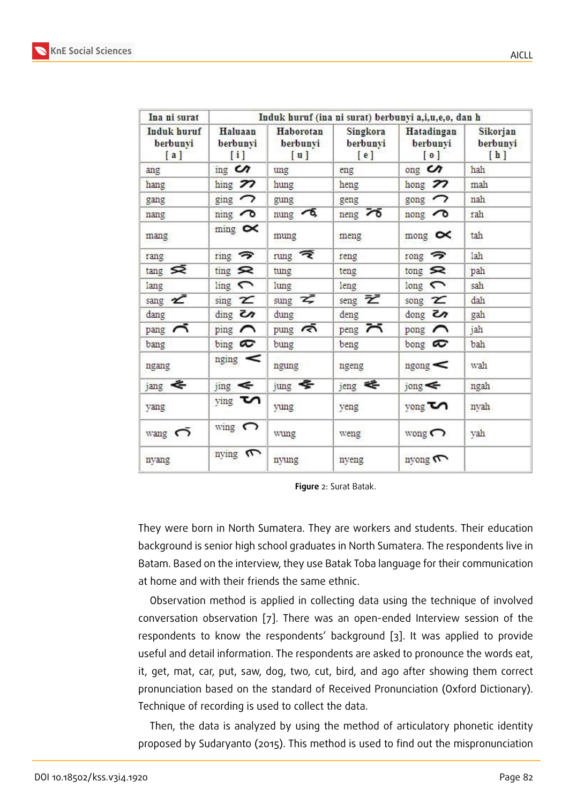| Ina ni surat<br>Induk huruf<br>berbunyi<br>[a] | Induk huruf (ina ni surat) berbunyi a,i,u,e,o, dan h |                                 |                               |                                                         |                             |
|------------------------------------------------|------------------------------------------------------|---------------------------------|-------------------------------|---------------------------------------------------------|-----------------------------|
|                                                | Haluaan<br>berbunyi<br>[i]                           | Haborotan<br>berbunyi<br>[u]    | Singkora<br>berbunyi<br>[e]   | Hatadingan<br>berbunyi<br>$\lbrack 0 \rbrack$           | Sikorjan<br>berbunyi<br>[h] |
| ang                                            | $\mathbf{mg}$ $\mathbf{C}$                           | ung                             | eng                           | $\log$ $\alpha$                                         | hah                         |
| hang                                           | hing $\mathcal{P}$                                   | hung                            | heng                          | hong $27$                                               | mah                         |
| gang                                           | $\sin \sigma$                                        | gung                            | geng                          | $_{\rm gong}$ $\rightarrow$                             | nah                         |
| nang                                           | $\min$ $\infty$                                      | $mung$ $\sim$                   | $n_{eng}$ $\sim$              | $\overline{\text{non}}$                                 | rah                         |
| mang                                           | $\min$ $\sigma$                                      | mung                            | meng                          | mong $\infty$                                           | tah                         |
| rang                                           | $ring$ $\rightarrow$                                 | $\frac{1}{2}$                   | reng                          | $_{\rm{rong}}$ $\rightarrow$                            | lah                         |
| $tan g \leq$                                   | $\lim_{\epsilon \to 0}$                              | tung                            | teng                          | $\mathop{\rm long}\nolimits$ $\mathop{\rm St}\nolimits$ | pah                         |
| lang                                           | $\lim_{\epsilon}$                                    | lung                            | leng                          | $long \frown$                                           | sah                         |
| sang $\boldsymbol{z}$                          | $\sin g$ $\approx$                                   | sung $\boldsymbol{\mathcal{Z}}$ | seng $\bar{z}$                | song $\mathbf{z}$                                       | dah                         |
| dang                                           | $\dim_{\mathbb{S}}$ $\infty$                         | dung                            | deng                          | $\frac{1}{2}$                                           | gah                         |
| $_{\rm pang}$ $\sim$                           | ping $\curvearrowright$                              | $pung \n\approx$                | peng $\overline{\phantom{a}}$ | pong $\curvearrowright$                                 | jah                         |
| bang                                           | $_{\text{bing}}$ $\infty$                            | bung                            | beng                          | bong $\infty$                                           | bah                         |
| ngang                                          | $_{\rm nging}$ $\leq$                                | ngung                           | ngeng                         | $_{\text{ngong}} <$                                     | wah                         |
| $jang \leq$                                    | $jing \leq$                                          | $j$ ung $\blacktriangleright$   | jeng <                        | $j$ ong $\leq$                                          | ngah                        |
| yang                                           | $ying$ $\boldsymbol{\mathrm{C}}$                     | yung                            | yeng                          | yong <b>Volta</b>                                       | nyah                        |
| wang $\bigcap$                                 | wing $\bigcap$                                       | wung                            | weng                          | wong $\bigcap$                                          | yah                         |
| nyang                                          | nying m                                              | nyung                           | nyeng                         | nyong m                                                 |                             |

**Figure** 2: Surat Batak.

They were born in North Sumatera. They are workers and students. Their education background is senior high school graduates in North Sumatera. The respondents live in Batam. Based on the interview, they use Batak Toba language for their communication at home and with their friends the same ethnic.

Observation method is applied in collecting data using the technique of involved conversation observation [7]. There was an open-ended Interview session of the respondents to know the respondents' background [3]. It was applied to provide useful and detail information. The respondents are asked to pronounce the words eat, it, get, mat, car, put, saw, [do](#page-8-3)g, two, cut, bird, and ago after showing them correct pronunciation based on the standard of Received Pro[nu](#page-8-4)nciation (Oxford Dictionary). Technique of recording is used to collect the data.

Then, the data is analyzed by using the method of articulatory phonetic identity proposed by Sudaryanto (2015). This method is used to find out the mispronunciation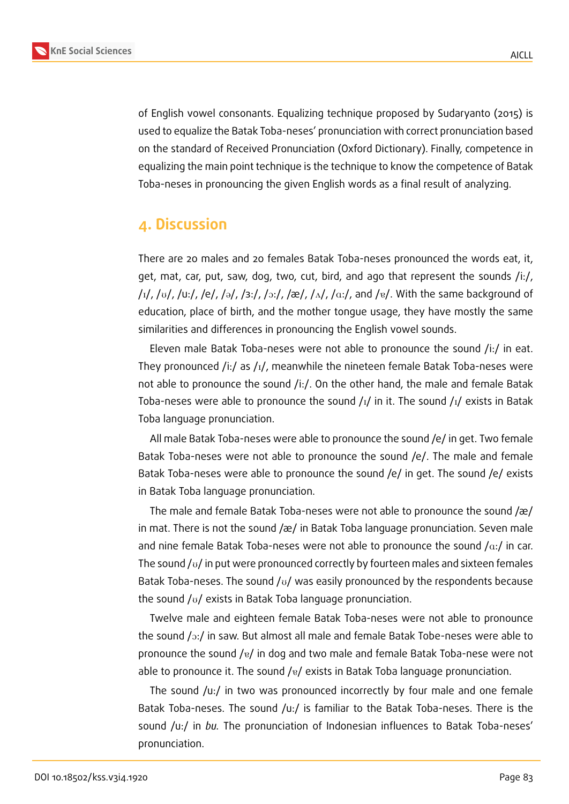

of English vowel consonants. Equalizing technique proposed by Sudaryanto (2015) is used to equalize the Batak Toba-neses' pronunciation with correct pronunciation based on the standard of Received Pronunciation (Oxford Dictionary). Finally, competence in equalizing the main point technique is the technique to know the competence of Batak Toba-neses in pronouncing the given English words as a final result of analyzing.

### **4. Discussion**

There are 20 males and 20 females Batak Toba-neses pronounced the words eat, it, get, mat, car, put, saw, dog, two, cut, bird, and ago that represent the sounds /i:/,  $/I_1/$ ,  $/U_1/$ ,  $/U_2/$ ,  $/Fe/$ ,  $/9/$ ,  $/3$ : $/$ ,  $/2$ : $/$ ,  $/4$ ,  $/4$ ,  $/4$ . $/4$ ,  $/4$ ,  $/4$ ,  $/4$ . With the same background of education, place of birth, and the mother tongue usage, they have mostly the same similarities and differences in pronouncing the English vowel sounds.

Eleven male Batak Toba-neses were not able to pronounce the sound /i:/ in eat. They pronounced /i:/ as / $I$ /, meanwhile the nineteen female Batak Toba-neses were not able to pronounce the sound /i:/. On the other hand, the male and female Batak Toba-neses were able to pronounce the sound  $\frac{1}{1}$  in it. The sound  $\frac{1}{1}$  exists in Batak Toba language pronunciation.

All male Batak Toba-neses were able to pronounce the sound /e/ in get. Two female Batak Toba-neses were not able to pronounce the sound /e/. The male and female Batak Toba-neses were able to pronounce the sound /e/ in get. The sound /e/ exists in Batak Toba language pronunciation.

The male and female Batak Toba-neses were not able to pronounce the sound /æ/ in mat. There is not the sound /æ/ in Batak Toba language pronunciation. Seven male and nine female Batak Toba-neses were not able to pronounce the sound  $/ax/$  in car. The sound  $\sqrt{U}$  in put were pronounced correctly by fourteen males and sixteen females Batak Toba-neses. The sound  $\sqrt{U}$  was easily pronounced by the respondents because the sound  $/v/$  exists in Batak Toba language pronunciation.

Twelve male and eighteen female Batak Toba-neses were not able to pronounce the sound  $/*o*:$  in saw. But almost all male and female Batak Tobe-neses were able to pronounce the sound  $\sqrt{8}$  in dog and two male and female Batak Toba-nese were not able to pronounce it. The sound / $v/$  exists in Batak Toba language pronunciation.

The sound /u:/ in two was pronounced incorrectly by four male and one female Batak Toba-neses. The sound /u:/ is familiar to the Batak Toba-neses. There is the sound /u:/ in *bu.* The pronunciation of Indonesian influences to Batak Toba-neses' pronunciation.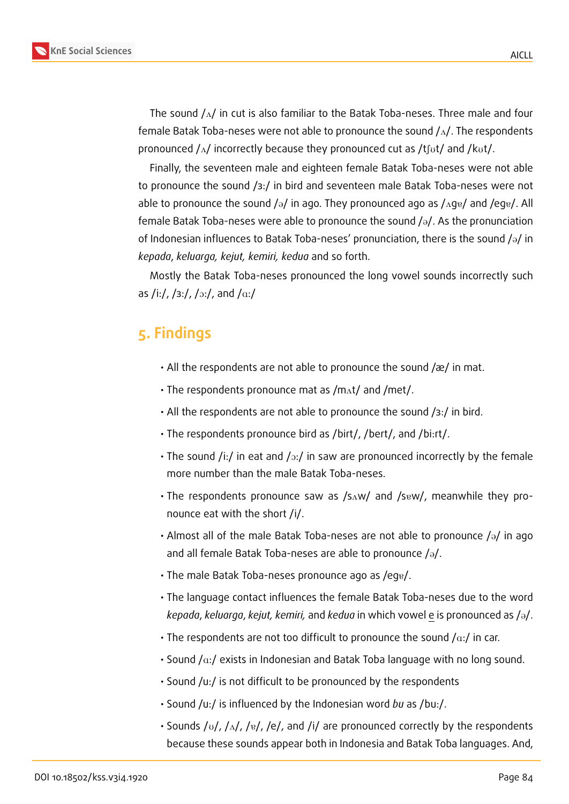

The sound  $/\Delta$  in cut is also familiar to the Batak Toba-neses. Three male and four female Batak Toba-neses were not able to pronounce the sound  $/\Lambda$ . The respondents pronounced  $/\Delta/$  incorrectly because they pronounced cut as /tfot/ and /kot/.

Finally, the seventeen male and eighteen female Batak Toba-neses were not able to pronounce the sound /з:/ in bird and seventeen male Batak Toba-neses were not able to pronounce the sound / $\partial$ / in ago. They pronounced ago as / $\Delta$ g $\partial$ / and /eg $\partial$ /. All female Batak Toba-neses were able to pronounce the sound  $\sqrt{a}$ . As the pronunciation of Indonesian influences to Batak Toba-neses' pronunciation, there is the sound  $\sqrt{a}$  in *kepada*, *keluarga, kejut, kemiri, kedua* and so forth.

Mostly the Batak Toba-neses pronounced the long vowel sounds incorrectly such as /i:/, /з:/, / $\frac{1}{2}$ ;/, and / $\frac{1}{4}$ ;/

## **5. Findings**

- All the respondents are not able to pronounce the sound /æ/ in mat.
- The respondents pronounce mat as  $/m<sub>At</sub>/$  and /met/.
- All the respondents are not able to pronounce the sound /з:/ in bird.
- The respondents pronounce bird as /birt/, /bert/, and /bi:rt/.
- The sound /i:/ in eat and / $\sigma$ :/ in saw are pronounced incorrectly by the female more number than the male Batak Toba-neses.
- The respondents pronounce saw as /sAw/ and /s<sub>8W</sub>/, meanwhile they pronounce eat with the short /i/.
- Almost all of the male Batak Toba-neses are not able to pronounce  $\sqrt{a}$  in ago and all female Batak Toba-neses are able to pronounce  $/\partial$ .
- $\cdot$  The male Batak Toba-neses pronounce ago as /eg $_{\rm g}/.$
- The language contact influences the female Batak Toba-neses due to the word *kepada*, *keluarga*, *kejut, kemiri,* and *kedua* in which vowel e is pronounced as /@/.
- The respondents are not too difficult to pronounce the sound  $/\alpha$ :/ in car.
- Sound  $/ax/$  exists in Indonesian and Batak Toba language with no long sound.
- Sound /u:/ is not difficult to be pronounced by the respondents
- Sound /u:/ is influenced by the Indonesian word *bu* as /bu:/.
- Sounds / $U/L/M$ , / $E/L$ , /e/, and /i/ are pronounced correctly by the respondents because these sounds appear both in Indonesia and Batak Toba languages. And,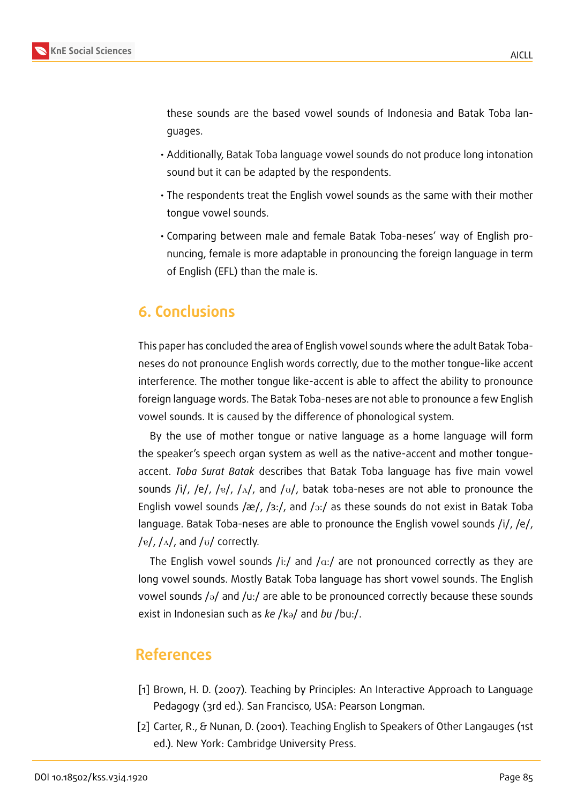

these sounds are the based vowel sounds of Indonesia and Batak Toba languages.

- Additionally, Batak Toba language vowel sounds do not produce long intonation sound but it can be adapted by the respondents.
- The respondents treat the English vowel sounds as the same with their mother tongue vowel sounds.
- Comparing between male and female Batak Toba-neses' way of English pronuncing, female is more adaptable in pronouncing the foreign language in term of English (EFL) than the male is.

### **6. Conclusions**

This paper has concluded the area of English vowel sounds where the adult Batak Tobaneses do not pronounce English words correctly, due to the mother tongue-like accent interference. The mother tongue like-accent is able to affect the ability to pronounce foreign language words. The Batak Toba-neses are not able to pronounce a few English vowel sounds. It is caused by the difference of phonological system.

By the use of mother tongue or native language as a home language will form the speaker's speech organ system as well as the native-accent and mother tongueaccent. *Toba Surat Batak* describes that Batak Toba language has five main vowel sounds /i/, /e/, / $\frac{1}{2}$ /, / $\frac{1}{2}$ , and / $\frac{1}{2}$ , batak toba-neses are not able to pronounce the English vowel sounds /æ/, / $3:$ /, and / $\sigma$ :/ as these sounds do not exist in Batak Toba language. Batak Toba-neses are able to pronounce the English vowel sounds /i/, /e/, /e/,  $/\Lambda$ , and / $\upsilon$ / correctly.

The English vowel sounds /i:/ and / $\alpha$ :/ are not pronounced correctly as they are long vowel sounds. Mostly Batak Toba language has short vowel sounds. The English vowel sounds  $/\partial$  and  $/\psi$ : are able to be pronounced correctly because these sounds exist in Indonesian such as *ke* /ka/ and *bu* /bu:/.

### **References**

- [1] Brown, H. D. (2007). Teaching by Principles: An Interactive Approach to Language Pedagogy (3rd ed.). San Francisco, USA: Pearson Longman.
- [2] Carter, R., & Nunan, D. (2001). Teaching English to Speakers of Other Langauges (1st ed.). New York: Cambridge University Press.